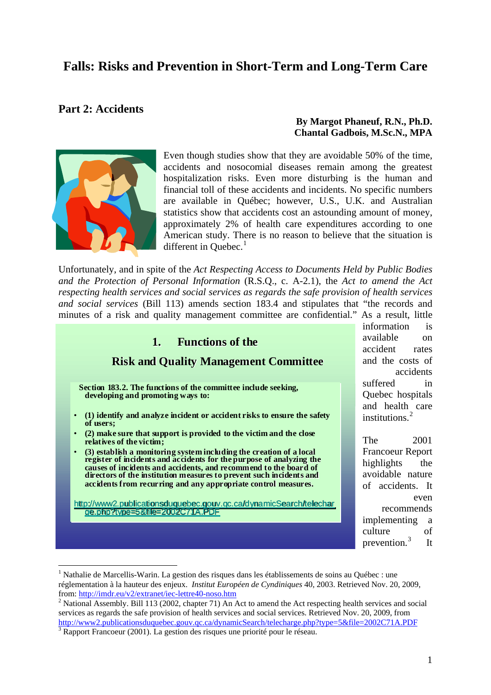# **Falls: Risks and Prevention in Short-Term and Long-Term Care**

### **Part 2: Accidents**

**By Margot Phaneuf, R.N., Ph.D. Chantal Gadbois, M.Sc.N., MPA**



<u>.</u>

Even though studies show that they are avoidable 50% of the time, accidents and nosocomial diseases remain among the greatest hospitalization risks. Even more disturbing is the human and financial toll of these accidents and incidents. No specific numbers are available in Québec; however, U.S., U.K. and Australian statistics show that accidents cost an astounding amount of money, approximately 2% of health care expenditures according to one American study. There is no reason to believe that the situation is different in Quebec. $<sup>1</sup>$  $<sup>1</sup>$  $<sup>1</sup>$ </sup>

Unfortunately, and in spite of the *Act Respecting Access to Documents Held by Public Bodies and the Protection of Personal Information* (R.S.Q., c. A-2.1), the *Act to amend the Act respecting health services and social services as regards the safe provision of health services and social services* (Bill 113) amends section 183.4 and stipulates that "the records and minutes of a risk and quality management committee are confidential." As a result, little

| <b>Functions of the</b><br>1.<br><b>Risk and Quality Management Committee</b>                                                                                                                                                                                                                                                                                                                                                                                                        | is<br>information<br>available<br>$\alpha$<br>accident<br>rates<br>and the costs of<br>accidents            |
|--------------------------------------------------------------------------------------------------------------------------------------------------------------------------------------------------------------------------------------------------------------------------------------------------------------------------------------------------------------------------------------------------------------------------------------------------------------------------------------|-------------------------------------------------------------------------------------------------------------|
| Section 183.2. The functions of the committee include seeking,<br>developing and promoting ways to:<br>(1) identify and analyze incident or accident risks to ensure the safety<br>$\bullet$<br>of users;                                                                                                                                                                                                                                                                            | suffered<br>in<br>Quebec hospitals<br>and health care<br>institutions. $^{2}$                               |
| (2) make sure that support is provided to the victim and the close<br>$\bullet$<br>relatives of the victim;<br>(3) establish a monitoring system including the creation of a local<br>$\bullet$<br>register of incidents and accidents for the purpose of analyzing the<br>causes of incidents and accidents, and recommend to the board of<br>directors of the institution measures to prevent such incidents and<br>accidents from recurring and any appropriate control measures. | 2001<br>The<br><b>Francoeur Report</b><br>highlights<br>the<br>avoidable nature<br>of accidents. It<br>even |
| http://www2.publicationsduquebec.gouv.gc.ca/dynamicSearch/telechar<br>de.bhb?tvbe=5&file=2002C71A.PDF                                                                                                                                                                                                                                                                                                                                                                                | recommends<br>implementing<br><sub>a</sub><br>of<br>culture                                                 |

<span id="page-0-0"></span><sup>&</sup>lt;sup>1</sup> Nathalie de Marcellis-Warin. La gestion des risques dans les établissements de soins au Québec : une réglementation à la hauteur des enjeux. *Institut Européen de Cyndiniques* 40, 2003. Retrieved Nov. 20, 2009, from: [http://imdr.eu/v2/extranet/iec-lettre40-noso.htm](http://www2.publicationsduquebec.gouv.qc.ca/dynamicSearch/telecharge.php?type=5&file=2002C71A.PDF)

prevention. $3$  It

<span id="page-0-1"></span><sup>&</sup>lt;sup>2</sup> [National Assembly. Bill 113 \(2002, chapter 71\) An Act to amend the Act respecting health services and socia](http://www2.publicationsduquebec.gouv.qc.ca/dynamicSearch/telecharge.php?type=5&file=2002C71A.PDF)l services as regards the safe provision of health services and social services. Retrieved Nov. 20, 2009, from [http://www2.publicationsduquebec.gouv.qc.ca/dynamicSearch/telecharge.php?type=5&file=2002C71A.PDF](http://publications.msss.gouv.qc.ca/acrobat/f/documentation/2005/05-209-01web.pdf)  $3 \text{ Rapport Franco}$ eur (2001). La gestion des risques une priorité pour le réseau.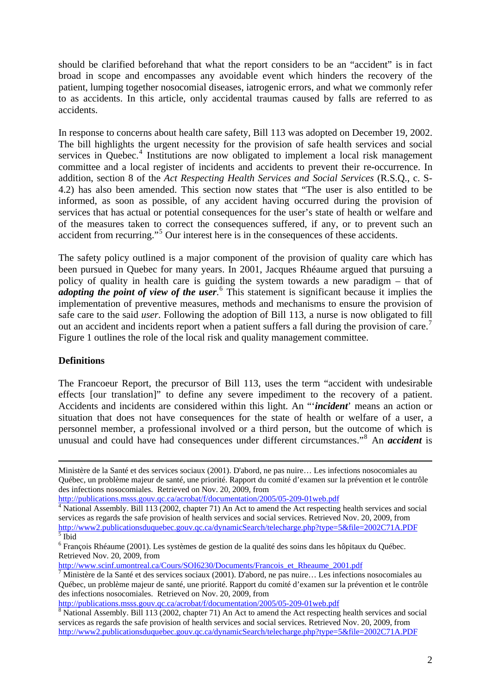should be clarified beforehand that what the report considers to be an "accident" is in fact broad in scope and encompasses any avoidable event which hinders the recovery of the patient, lumping together nosocomial diseases, iatrogenic errors, and what we commonly refer to as accidents. In this article, only accidental traumas caused by falls are referred to as accidents.

In response to concerns about health care safety, Bill 113 was adopted on December 19, 2002. The bill highlights the urgent necessity for the provision of safe health services and social services in Quebec.<sup>[4](#page-1-0)</sup> Institutions are now obligated to implement a local risk management committee and a local register of incidents and accidents to prevent their re-occurrence. In addition, section 8 of the *Act Respecting Health Services and Social Services* (R.S.Q., c. S-4.2) has also been amended. This section now states that "The user is also entitled to be informed, as soon as possible, of any accident having occurred during the provision of services that has actual or potential consequences for the user's state of health or welfare and of the measures taken to correct the consequences suffered, if any, or to prevent such an accident from recurring."[5](#page-1-1) Our interest here is in the consequences of these accidents.

The safety policy outlined is a major component of the provision of quality care which has been pursued in Quebec for many years. In 2001, Jacques Rhéaume argued that pursuing a policy of quality in health care is guiding the system towards a new paradigm – that of *adopting the point of view of the user.* <sup>[6](#page-1-2)</sup> This statement is significant because it implies the implementation of preventive measures, methods and mechanisms to ensure the provision of safe care to the said *user*. Following the adoption of Bill 113, a nurse is now obligated to fill out an accident and incidents report when a patient suffers a fall during the provision of care.<sup>[7](#page-1-3)</sup> Figure 1 outlines the role of the local risk and quality management committee.

### **Definitions**

The Francoeur Report, the precursor of Bill 113, uses the term "accident with undesirable effects [our translation]" to define any severe impediment to the recovery of a patient. Accidents and incidents are considered within this light. An "'*incident*' means an action or situation that does not have consequences for the state of health or welfare of a user, a personnel member, a professional involved or a third person, but the outcome of which is unusual and could have had consequences under different circumstances."[8](#page-1-4) An *accident* is

[http://publications.msss.gouv.qc.ca/acrobat/f/documentation/2005/05-209-01web.pdf](http://www2.publicationsduquebec.gouv.qc.ca/dynamicSearch/telecharge.php?type=5&file=2002C71A.PDF) [8](http://www2.publicationsduquebec.gouv.qc.ca/dynamicSearch/telecharge.php?type=5&file=2002C71A.PDF)

Ministère de la Santé et des services sociaux (2001). D'abord, ne pas nuire… Les infections nosocomiales au [Québec, un problème majeur de santé, une priorité. Rapport du co](http://publications.msss.gouv.qc.ca/acrobat/f/documentation/2005/05-209-01web.pdf)mité d'examen sur la prévention et le contrôle [des infections nosocomiales. Retrieved on Nov. 20, 2009, from](http://publications.msss.gouv.qc.ca/acrobat/f/documentation/2005/05-209-01web.pdf) 

[http://publications.msss.gouv.qc.ca/acrobat/f/documentation/2005/05-209-01web.pdf 4](http://www2.publicationsduquebec.gouv.qc.ca/dynamicSearch/telecharge.php?type=5&file=2002C71A.PDF)

<span id="page-1-0"></span>National Assembly. Bill 113 (2002, chapter 71) An Act to amend the Act respecting health services and so cial services as regards the safe provision of health services and social services. Retrieved Nov. 20, 2009, from [http://w](http://www2.publicationsduquebec.gouv.qc.ca/dynamicSearch/telecharge.php?type=5&file=2002C71F.PDF)ww2.publicationsduquebec.gouv.qc.ca/dynamicSearch/telecharge.php?type=5&file=2002C71A.PDF  $\overline{\overline{5}}$  Ibid

<span id="page-1-2"></span><span id="page-1-1"></span> $6$  [François Rhéaume \(2001\). Les](http://www.scinf.umontreal.ca/Cours/SOI6230/Documents/Francois_et_Rheaume_2001.pdf) systèmes de gestion de la qualité des soins dans les hôpitaux du Québec. [Retrieved Nov. 20, 2009, from](http://www.scinf.umontreal.ca/Cours/SOI6230/Documents/Francois_et_Rheaume_2001.pdf) 

[http://www.scinf.umontreal.ca/Cours/SOI6230/Documents/Francois\\_et\\_Rheaume\\_2001.pdf](http://publications.msss.gouv.qc.ca/acrobat/f/documentation/2005/05-209-01web.pdf)

<span id="page-1-3"></span> $\overline{7}$ Ministère de la Santé et des services sociaux (2001). D'abord, ne pas nuire… Les infections nosocomiales au [Québec, un problème majeur de santé, une priorité. Rapport du c](http://publications.msss.gouv.qc.ca/acrobat/f/documentation/2005/05-209-01web.pdf) omité d'examen sur la prévention et le contrôle [des infections nosocomiales. Retrieved on Nov. 20, 2009, from](http://publications.msss.gouv.qc.ca/acrobat/f/documentation/2005/05-209-01web.pdf) 

<span id="page-1-4"></span>[National Assembly. Bill 113 \(2002, chapter 71\) An Act to amend the Act respecting health services and so](http://www2.publicationsduquebec.gouv.qc.ca/dynamicSearch/telecharge.php?type=5&file=2002C71A.PDF) cial [services as regards the safe provision of health services and social services. Retrieved Nov. 20, 2009, from](http://www2.publicationsduquebec.gouv.qc.ca/dynamicSearch/telecharge.php?type=5&file=2002C71A.PDF)  http://www2.publicationsduquebec.gouv.qc.ca/dynamicSearch/telecharge.php?type=5&file=2002C71A.PDF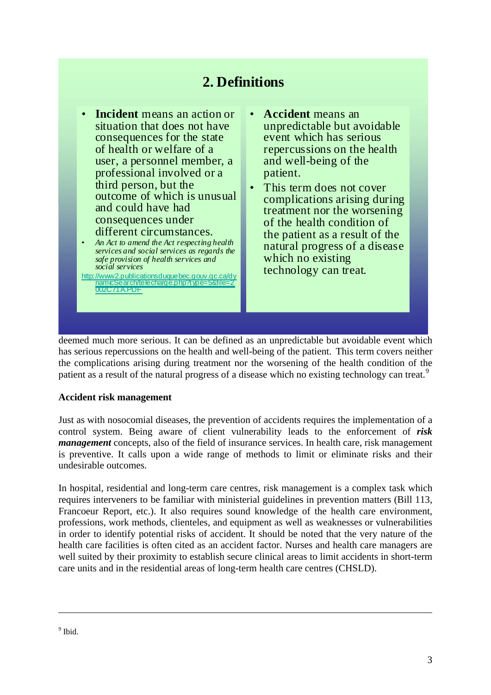# **2. Definitions**

- **Incident** means an action or situation that does not have consequences for the state of health or welfare of a user, a personnel member, a professional involved or a third person, but the outcome of which is unusual and could have had consequences under different circumstances.
- *An Act to amend the Act respecting health services and social services as regards the safe provision of health services and social services*

http://www2.publicationsduquebec.gouv.qc.ca/dy namicSearch/telecharge.php?type=5&file=2 002C71A.PDF

- **Accident** means an unpredictable but avoidable event which has serious repercussions on the health and well-being of the patient.
- This term does not cover complications arising during treatment nor the worsening of the health condition of the patient as a result of the natural progress of a disease which no existing technology can treat.

deemed much more serious. It can be defined as an unpredictable but avoidable event which has serious repercussions on the health and well-being of the patient. This term covers neither the complications arising during treatment nor the worsening of the health condition of the patient as a result of the natural progress of a disease which no existing technology can treat.<sup>9</sup>

### **Accident risk management**

*management* concepts, also of the field of insurance services. In health care, risk management is preventive. It calls upon a wide range of methods to limit or eliminate risks and their Just as with nosocomial diseases, the prevention of accidents requires the implementation of a control system. Being aware of client vulnerability leads to the enforcement of *risk*  undesirable outcomes.

health care facilities is often cited as an accident factor. Nurses and health care managers are well suited by their proximity to establish secure clinical areas to limit accidents in short-term In hospital, residential and long-term care centres, risk management is a complex task which requires interveners to be familiar with ministerial guidelines in prevention matters (Bill 113, Francoeur Report, etc.). It also requires sound knowledge of the health care environment, professions, work methods, clienteles, and equipment as well as weaknesses or vulnerabilities in order to identify potential risks of accident. It should be noted that the very nature of the care units and in the residential areas of long-term health care centres (CHSLD).

1

<sup>&</sup>lt;sup>9</sup> Ibid.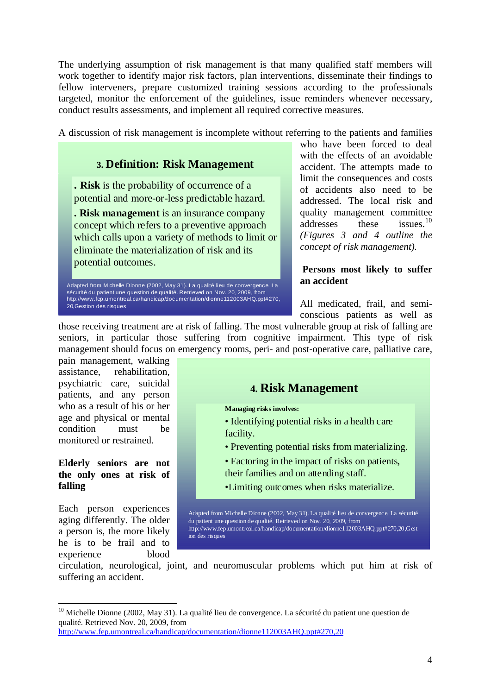The underlying assumption of risk management is that many qualified staff members will work together to identify major risk factors, plan interventions, disseminate their findings to fellow interveners, prepare customized training sessions according to the professionals conduct results assessments, and implement all required corrective measures. targeted, monitor the enforcement of the guidelines, issue reminders whenever necessary,

A discussion of risk management is incomplete without referring to the patients and families

### **3. Definition: Risk Management**

**. Risk** is the probability of occurrence of a potential and more-or-less predictable hazard.

**. Risk management** is an insurance company concept which refers to a preventive approach which calls upon a variety of methods to limit or eliminate the materialization of risk and its potential outcomes.

Adapted from Michelle Dionne (2002, May 31). La qualité lieu de convergence. La sécurité du patient une question de qualité. Retrieved on Nov. 20, 2009, from http://www.fep.umontreal.ca/handicap/documentation/dionne112003AHQ.ppt#270, 20,Gestion des risques

quality management committee issues. $10$ *concept of risk management).* who have been forced to deal with the effects of an avoidable accident. The attempts made to limit the consequences and costs of accidents also need to be addressed. The local risk and addresses these *(Figures 3 and 4 outline the* 

### **Persons most likely to suffer an accident**

All medicated, frail, and semiconscious patients as well as

those receiving treatment are at risk of falling. The most vulnerable group at risk of falling are seniors, in particular those suffering from cognitive impairment. This type of risk management should focus on emergency rooms, peri- and post-operative care, palliative care,

who as a result of his or her age and physical or mental pain management, walking assistance, rehabilitation, psychiatric care, suicidal patients, and any person condition must be monitored or restrained.

#### **lderly seniors are not E the only ones at risk of falling**

he is to be frail and to xperience blood e Each person experiences aging differently. The older a person is, the more likely

1

# **4. Risk Management Managing risks involves:** • Identifying potential risks in a health care facility. • Preventing potential risks from materializing. • Factoring in the impact of risks on patients, their families and on attending staff. •Limiting outcomes when risks materialize. Adapted from Michelle Dionne (2002, May 31). La qualité lieu de convergence. La sécurité du patient une question de qualité. Retrieved on Nov. 20, 2009, from

http://www.fep.umontreal.ca/handicap/documentation/dionne112003AHQ.ppt#270,20,Gest ion des risques

circulation, neurological, joint, and neuromuscular problems which put him at risk of suffering an accident.

<sup>&</sup>lt;sup>10</sup> Michelle Dionne (2002, May 31). La qualité lieu de convergence. La sécurité du patient une question de qualité. Retrieved Nov. 20, 2009, from

<http://www.fep.umontreal.ca/handicap/documentation/dionne112003AHQ.ppt#270,20>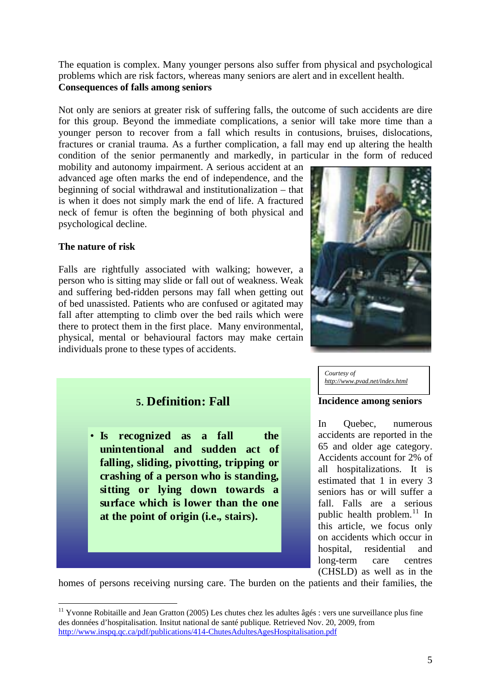The equation is complex. Many younger persons also suffer from physical and psychological problems which are risk factors, whereas many seniors are alert and in excellent health. **Consequences of falls among seniors** 

Not only are seniors at greater risk of suffering falls, the outcome of such accidents are dire for this group. Beyond the immediate complications, a senior will take more time than a younger person to recover from a fall which results in contusions, bruises, dislocations, fractures or cranial trauma. As a further complication, a fall m ay end up altering the health condition of the senior permanently and markedly, in parti cular in the form of reduced

beginning of social withdrawal and institutionalization - that is when it does not simply mark the end of life. A fractured neck of femur is often the beginning of both physical and psychological decline. mobility and autonomy impairment. A serious accident at an advanced age often marks the end of independence, and the

### **The nature of risk**

1

fall after attempting to climb over the bed rails which were there to protect them in the first place. Many environmental, physical, mental or behavioural factors may make certain Falls are rightfully associated with walking; however, a person who is sitting may slide or fall out of weakness. Weak and suffering bed-ridden persons may fall when getting out of bed unassisted. Patients who are confused or agitated may individuals prone to these types of accidents.



*Courtesy of [http://www.pvad.net/index.html](#page-4-0)*

### **Incidence among seniors**

(CHSLD) as well as in the In Quebec, numerous accidents are reported in the 65 and older age category. Accidents account for 2% of all hospitalizations. It is estimated that 1 in every 3 seniors has or will suffer a fall. Falls are a serious public health problem. $^{11}$  $^{11}$  $^{11}$  In this article, we focus only on accidents which occur in hospital, residential and long-term care centres

homes of persons receiving nursing care. The burden on the patients and their families, the

## **5. Definition: Fall**

• **Is recognized as a fall the unintentional and sudden act of falling, sliding, pivotting, tripping or crashing of a person who is standing, sitting or lying down towards a surface which is lower than the one at the point of origin (i.e., stairs).**

<span id="page-4-0"></span><sup>&</sup>lt;sup>11</sup> Yvonne Robitaille and Jean Gratton (2005) Les chutes chez les adultes âgés : vers une surveillance plus fine des données d'hospitalisation. Insitut national de santé publique*.* Retrieved Nov. 20, 2009, from <http://www.inspq.qc.ca/pdf/publications/414-ChutesAdultesAgesHospitalisation.pdf>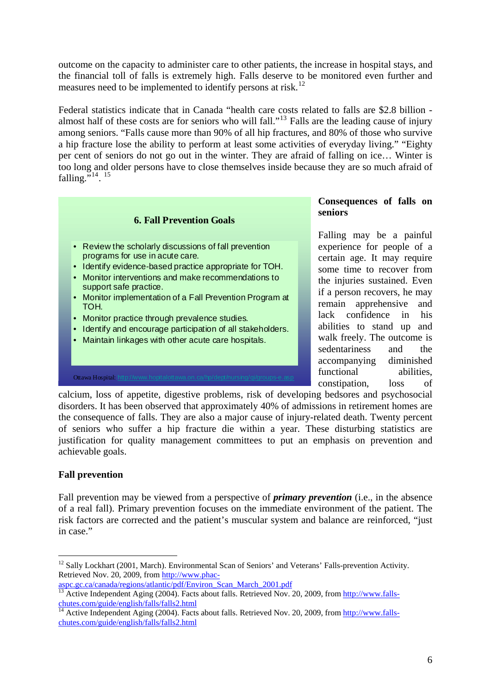[outcome on the capacity to administer care to other patients, the increase in hospital stays, and](#page-4-0)  [the financial toll of falls is extremely high. Falls deserve to b](#page-4-0)e monitored even further and measures need to be implemented to identify persons at risk.<sup>12</sup>

too long and older persons have to close themselves inside because they are so much afraid of falling."<sup>14</sup>.<sup>15</sup> Federal statistics indicate that in Canada "health care costs related to falls are \$2.8 billion almost half of these costs are for seniors who will fall."[13](#page-5-0) Falls are the leading cause of injury among seniors. "Falls cause more than 90% of all hip fractures, and 80% of those who survive a hip fracture lose the ability to perform at least some activities of everyday living." "Eighty per cent of seniors do not go out in the winter. They are afraid of falling on ice… Winter is



of seniors who suffer a hip fracture die within a year. These disturbing statistics are justification for quality management committees to put an emphasis on prevention and calcium, loss of appetite, digestive problems, risk of developing bedsores and psychosocial disorders. It has been observed that approximately 40% of admissions in retirement homes are the consequence of falls. They are also a major cause of injury-related death. Twenty percent achievable goals.

### **Fall prevention**

1

of a real fall). Primary prevention focuses on the immediate environment of the patient. The risk factors are corrected and the patient's muscular system and balance are reinforced, "just Fall prevention may be viewed from a perspective of *primary prevention* (i.e., in the absence in case."

<sup>&</sup>lt;sup>12</sup> Sally Lockhart (2001, March). Environmental Scan of Seniors' and Veterans' Falls-prevention Activity. Retrieved Nov. 20, 2009, from [http://www.phac-](http://www.phac-aspc.gc.ca/canada/regions/atlantic/pdf/Environ_Scan_March_2001.pdf)

<span id="page-5-0"></span>[aspc.gc.ca/canada/regions/atlantic/pdf/Environ\\_Scan\\_March\\_2001.pdf](http://www.phac-aspc.gc.ca/canada/regions/atlantic/pdf/Environ_Scan_March_2001.pdf)<br><sup>13</sup> Active Independent Aging (2004). Facts about falls. Retrieved Nov. 20, 2009, from [http://www.falls](http://www.falls-chutes.com/guide/english/falls/falls2.html)[chutes.com/guide/english/falls/falls2.html](http://www.falls-chutes.com/guide/english/falls/falls2.html)

<sup>&</sup>lt;sup>14</sup> Active Independent Aging (2004). Facts about falls. Retrieved Nov. 20, 2009, from [http://www.falls](http://www.falls-chutes.com/guide/english/falls/falls2.html)[chutes.com/guide/english/falls/falls2.html](http://www.falls-chutes.com/guide/english/falls/falls2.html)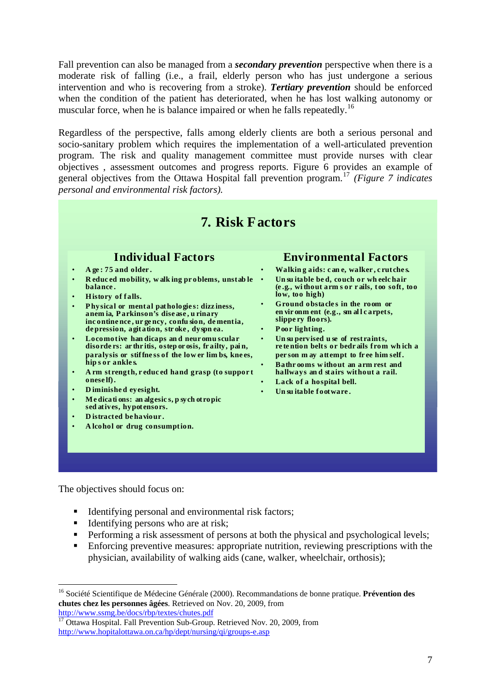Fall prevention can also be managed from a *secondary prevention* perspective when there is a moderate risk of falling (i.e., a frail, elderly person who has just undergone a serious intervention and who is recovering from a stroke). *Tertiary prevention* should be enforced when the condition of the patient has deteriorated, when he has lost walking autonomy or muscular force, when he is balance impaired or when he falls repeatedly.<sup>[16](#page-6-0)</sup>

objectives, assessment outcomes and progress reports. Figure 6 provides an example of general objectives from the Ottawa Hospital fall prevention program.<sup>17</sup> (Figure 7 indicates Regardless of the perspective, falls among elderly clients are both a serious personal and socio-sanitary problem which requires the implementation of a well-articulated prevention program. The risk and quality management committee must provide nurses with clear *personal and environmental risk factors).* 



The objectives should focus on:

1

- $\blacksquare$  Identifying personal and environmental risk factors;
- Identifying persons who are at risk;
- Performing a risk assessment of persons at both the physical and psychological levels;
- **Enforcing preventive measures: appropriate nutrition, reviewing prescriptions with the** physician, availability of walking aids (cane, walker, wheelchair, orthosis);

<sup>16</sup> Société Scientifique de Médecine Générale (2000). Recommandations de bonne pratique. **Prévention des chutes chez les personnes âgées**. Retrieved on Nov. 20, 2009, from <http://www.ssmg.be/docs/rbp/textes/chutes.pdf>

<span id="page-6-0"></span><sup>&</sup>lt;sup>17</sup> Ottawa Hospital. Fall Prevention Sub-Group. Retrieved Nov. 20, 2009, from <http://www.hopitalottawa.on.ca/hp/dept/nursing/qi/groups-e.asp>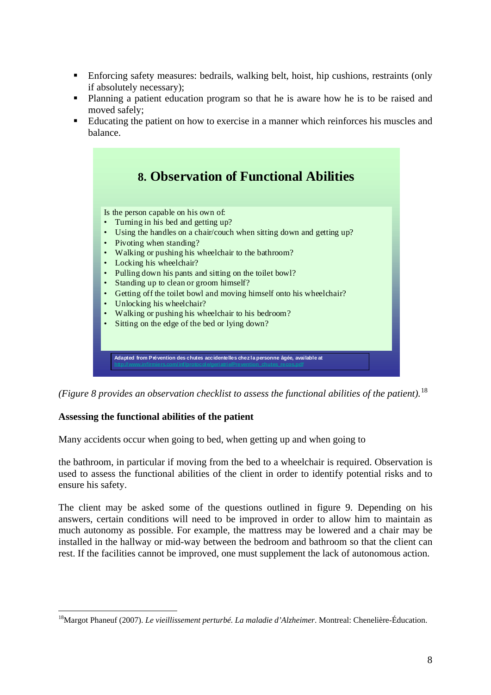- Enforcing safety measures: bedrails, walking belt, hoist, hip cushions, restraints (only if absolutely necessary);
- Planning a patient education program so that he is aware how he is to be raised and moved safely;
- **Educating the patient on how to exercise in a manner which reinforces his muscles and** balance.



*(Figure 8 provides an observation checklist to assess the functional abilities of the patient).*<sup>18</sup>

### **ssessing the functional abilities of the patient A**

Many accidents occur when going to bed, when getting up and when going to

used to assess the functional abilities of the client in order to identify potential risks and to ensure his safety. the bathroom, in particular if moving from the bed to a wheelchair is required. Observation is

rest. If the facilities cannot be improved, one must supplement the lack of autonomous action. The client may be asked some of the questions outlined in figure 9. Depending on his answers, certain conditions will need to be improved in order to allow him to maintain as much autonomy as possible. For example, the mattress may be lowered and a chair may be installed in the hallway or mid-way between the bedroom and bathroom so that the client can

<sup>1</sup> 18Margot Phaneuf (2007). *Le vieillissement perturbé. La maladie d'Alzheimer*. Montreal: Chenelière-Éducation.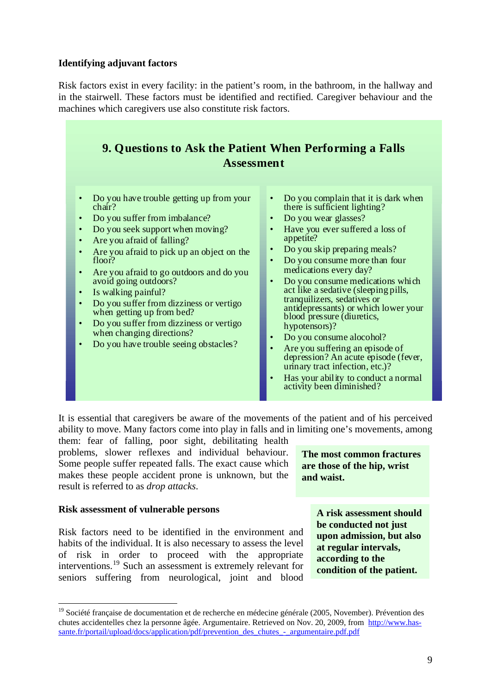### **Identifying adjuvant factors**

in the stairwell. These factors must be identified and rectified. Caregiver behaviour and the m achines which caregivers use also constitute risk factors. Risk factors exist in every facility: in the patient's room, in the bathroom, in the hallway and

| 9. Questions to Ask the Patient When Performing a Falls<br><b>Assessment</b>                                                                                                                                                                                                                                                                                                                                                                                                                                                                                                                                      |                                                                                                                                                                                                                                                                                                                                                                                                                                                                                                                                                                                                                                                                                                                                          |  |  |  |
|-------------------------------------------------------------------------------------------------------------------------------------------------------------------------------------------------------------------------------------------------------------------------------------------------------------------------------------------------------------------------------------------------------------------------------------------------------------------------------------------------------------------------------------------------------------------------------------------------------------------|------------------------------------------------------------------------------------------------------------------------------------------------------------------------------------------------------------------------------------------------------------------------------------------------------------------------------------------------------------------------------------------------------------------------------------------------------------------------------------------------------------------------------------------------------------------------------------------------------------------------------------------------------------------------------------------------------------------------------------------|--|--|--|
| Do you have trouble getting up from your<br>$\bullet$<br>$\chi$ chair?<br>Do you suffer from imbalance?<br>$\bullet$<br>Do you seek support when moving?<br>Are you afraid of falling?<br>$\bullet$<br>Are you afraid to pick up an object on the<br>floor?<br>Are you afraid to go outdoors and do you<br>$\bullet$<br>avoid going outdoors?<br>Is walking painful?<br>$\bullet$<br>Do you suffer from dizziness or vertigo<br>$\bullet$<br>when getting up from bed?<br>Do you suffer from dizziness or vertigo<br>$\bullet$<br>when changing directions?<br>Do you have trouble seeing obstacles?<br>$\bullet$ | Do you complain that it is dark when<br>$\bullet$<br>there is sufficient lighting?<br>Do you wear glasses?<br>$\bullet$<br>Have you ever suffered a loss of<br>$\bullet$<br>appetite?<br>Do you skip preparing meals?<br>$\bullet$<br>Do you consume more than four<br>$\bullet$<br>medications every day?<br>Do you consume medications which<br>$\bullet$<br>act like a sedative (sleeping pills,<br>tranquilizers, sedatives or<br>antidepressants) or which lower your<br>blood pressure (diuretics,<br>hypotensors)?<br>Do you consume alocohol?<br>Are you suffering an episode of<br>depression? An acute episode (fever,<br>urinary tract infection, etc.)?<br>Has your ability to conduct a normal<br>activity been diminished? |  |  |  |

ability to move. Many factors come into play in falls and in limiting one's movements, among It is essential that caregivers be aware of the movements of the patient and of his perceived

makes these people accident prone is unknown, but the result is referred to as *drop attacks*. them: fear of falling, poor sight, debilitating health problems, slower reflexes and individual behaviour. Some people suffer repeated falls. The exact cause which

### Risk assessment of vulnerable persons

1

Risk factors need to be identified in the environment and habits of the individual. It is also necessary to assess the level of risk in order to proceed with the appropriate interventions.[19](#page-8-0) Such an assessment is extremely relevant for seniors suffering from neurological, joint and blood

**The most common fracture s are those of the hip, wrist and waist.** 

> A risk assessment should **be conducted not just upon admission, but also**  at regular intervals, **according to the condition of the patient.**

<span id="page-8-0"></span><sup>&</sup>lt;sup>19</sup> Société française de documentation et de recherche en médecine générale (2005, November). Prévention des chutes accidentelles chez la personne âgée. Argumentaire. Retrieved on Nov. 20, 2009, from [http://www.has](http://www.has-sante.fr/portail/upload/docs/application/pdf/prevention_des_chutes_-_argumentaire.pdf.pdf)[sante.fr/portail/upload/docs/application/pdf/prevention\\_des\\_chutes\\_-\\_argumentaire.pdf.pdf](http://www.has-sante.fr/portail/upload/docs/application/pdf/prevention_des_chutes_-_argumentaire.pdf.pdf)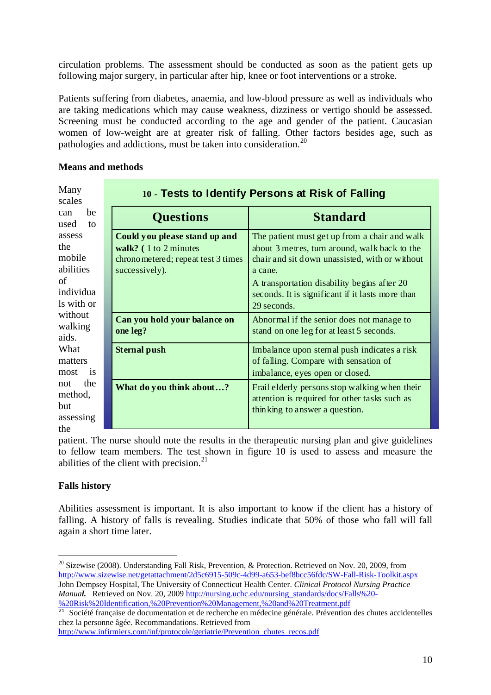circulation problems. The assessment should be conducted as soon as the patient gets up following major surgery, in particular after hip, knee or foot interventions or a stroke.

Screening must be conducted according to the age and gender of the patient. Caucasian women of low-weight are at greater risk of falling. Other factors besides age, such as pathologies and addictions, must be taken into consideration.<sup>20</sup> Patients suffering from diabetes, anaemia, and low-blood pressure as well as individuals who are taking medications which may cause weakness, dizziness or vertigo should be assessed.

### **Means** and methods

| Many<br>scales                                                        | 10 - Tests to Identify Persons at Risk of Falling |                                                                                                                 |                                                                                                                                                                                                                                                                               |  |
|-----------------------------------------------------------------------|---------------------------------------------------|-----------------------------------------------------------------------------------------------------------------|-------------------------------------------------------------------------------------------------------------------------------------------------------------------------------------------------------------------------------------------------------------------------------|--|
| be<br>can<br>used<br>to                                               |                                                   | <b>Questions</b>                                                                                                | <b>Standard</b>                                                                                                                                                                                                                                                               |  |
| assess<br>the<br>mobile<br>abilities<br>of<br>individua<br>Is with or |                                                   | Could you please stand up and<br>walk? (1 to 2 minutes)<br>chronometered; repeat test 3 times<br>successively). | The patient must get up from a chair and walk<br>about 3 metres, turn around, walk back to the<br>chair and sit down unassisted, with or without<br>a cane.<br>A transportation disability begins after 20<br>seconds. It is significant if it lasts more than<br>29 seconds. |  |
| without<br>walking<br>aids.                                           |                                                   | Can you hold your balance on<br>one leg?                                                                        | Abnormal if the senior does not manage to<br>stand on one leg for at least 5 seconds.                                                                                                                                                                                         |  |
| What<br>matters<br>most<br><i>is</i>                                  |                                                   | <b>Sternal push</b>                                                                                             | Imbalance upon sternal push indicates a risk<br>of falling. Compare with sensation of<br>imbalance, eyes open or closed.                                                                                                                                                      |  |
| the<br>not<br>method,<br><b>but</b><br>assessing<br>the               |                                                   | What do you think about?                                                                                        | Frail elderly persons stop walking when their<br>attention is required for other tasks such as<br>thinking to answer a question.                                                                                                                                              |  |

patient. The nurse should note the results in the therapeutic nursing plan and give guidelines to fellow team members. The test shown in figure 10 is used to assess and measure the abilities of the client with precision. $21$ 

### **Falls history**

1

Abilities assessment is important. It is also important to know if the client has a history of falling. A history of falls is revealing. Studies indicate that 50% of those who fall will fall again a short time later.

<sup>&</sup>lt;sup>20</sup> Sizewise (2008). Understanding Fall Risk, Prevention, & Protection, Retrieved on Nov. 20, 2009, from <http://www.sizewise.net/getattachment/2d5c6915-509c-4d99-a653-bef8bcc56fdc/SW-Fall-Risk-Toolkit.aspx> John Dempsey Hospital, The University of Connecticut Health Center. *Clinical Protocol Nursing Practice Manual.* Retrieved on Nov. 20, 2009 [http://nursing.uchc.edu/nursing\\_standards/docs/Falls%20-](http://nursing.uchc.edu/nursing_standards/docs/Falls%20-%20Risk%20Identification,%20Prevention%20Management,%20and%20Treatment.pdf) [%20Risk%20Identification,%20Prevention%20Management,%20and%20Treatment.pdf](http://nursing.uchc.edu/nursing_standards/docs/Falls%20-%20Risk%20Identification,%20Prevention%20Management,%20and%20Treatment.pdf) 

<sup>&</sup>lt;sup>21</sup> Société française de documentation et de recherche en médecine générale. Prévention des chutes accidentelles chez la personne âgée. Recommandations. Retrieved from

[http://www.infirmiers.com/inf/protocole/geriatrie/Prevention\\_chutes\\_recos.pdf](http://www.infirmiers.com/inf/protocole/geriatrie/Prevention_chutes_recos.pdf)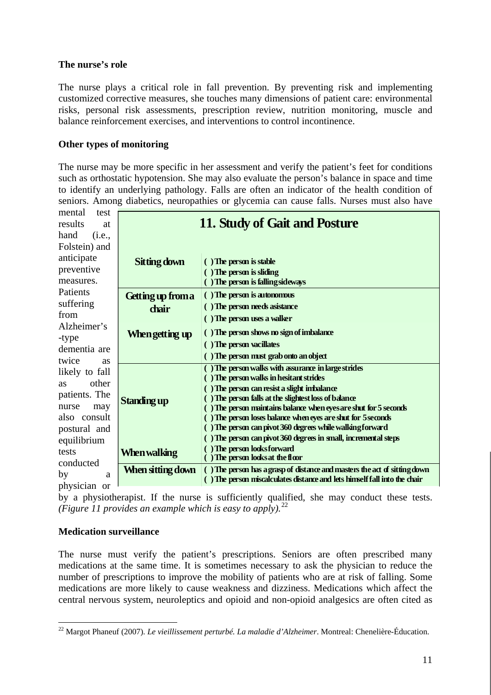### **The nurse's role**

The nurse plays a critical role in fall prevention. By preventing risk and implementing customized corrective measures, she touches many dimensions of patient care: environmental risks, personal risk assessments, prescription review, nutrition monitoring, muscle and balance reinforcement exercises, and interventions to control incontinence.

### **Other types of monitoring**

The nurse may be more specific in her assessment and verify the patient's feet for conditions such as orthostatic hypotension. She may also evaluate the person's balance in space and time to identify an u nderlying pathology. Falls are often an indicator of the health condition of seniors. Among d iabetics, neuropathies or glycemia can cause falls. Nurses must also have

| mental<br>test     |                               |                                                                                               |  |
|--------------------|-------------------------------|-----------------------------------------------------------------------------------------------|--|
| results<br>at      | 11. Study of Gait and Posture |                                                                                               |  |
| hand<br>(i.e.,     |                               |                                                                                               |  |
| Folstein) and      |                               |                                                                                               |  |
| anticipate         | Sitting down                  | () The person is stable                                                                       |  |
| preventive         |                               | $( )$ The person is sliding                                                                   |  |
| measures.          |                               | () The person is falling sideways                                                             |  |
| Patients           | <b>Getting up from a</b>      | () The person is autonomous                                                                   |  |
| suffering          |                               | () The person needs asistance                                                                 |  |
| from               | chair                         | () The person uses a walker                                                                   |  |
| Alzheimer's        |                               |                                                                                               |  |
| -type              | When getting up               | () The person shows no sign of imbalance                                                      |  |
| dementia are       |                               | () The person vacillates                                                                      |  |
| twice<br><b>as</b> |                               | () The person must grab onto an object                                                        |  |
| likely to fall     |                               | () The person walks with assurance in large strides                                           |  |
| other<br><b>as</b> |                               | The person walks in hesitant strides                                                          |  |
| patients. The      |                               | The person can resist a slight imbalance<br>The person falls at the slightest loss of balance |  |
| nurse<br>may       | Standing up                   | The person maintains balance when eyes are shut for 5 seconds                                 |  |
| also consult       |                               | The person loses balance when eyes are shut for 5 seconds                                     |  |
| postural and       |                               | The person can pivot 360 degrees while walking forward                                        |  |
| equilibrium        |                               | The person can pivot 360 degrees in small, incremental steps                                  |  |
| tests              | When walking                  | ) The person looks forward                                                                    |  |
| conducted          |                               | The person looks at the floor                                                                 |  |
| by<br>a            | When sitting down             | () The person has a grasp of distance and masters the act of sitting down                     |  |
| physician or       |                               | The person miscalculates distance and lets himself fall into the chair                        |  |

by a physiotherapist. If the nurse is sufficiently qualified, she may conduct these tests. *(Figure 11 provides an example which is easy to apply).*<sup>22</sup>

### **Medication surveillance**

central nervous system, neuroleptics and opioid and non-opioid analgesics are often cited as The nurse must verify the patient's prescriptions. Seniors are often prescribed many medications at the same time. It is sometimes necessary to ask the physician to reduce the number of prescriptions to improve the mobility of patients who are at risk of falling. Some medications are more likely to cause weakness and dizziness. Medications which affect the

<sup>&</sup>lt;u>.</u> 22 Margot Phaneuf (2007). *Le vieillissement perturbé. La maladie d'Alzheimer*. Montreal: Chenelière-Éducation.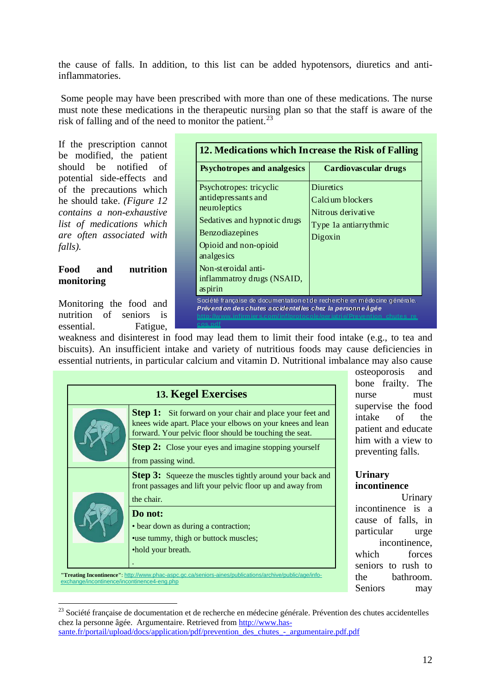the cause of falls. In addition, to this list can be added hypotensors, diuretics and antiinflammatories.

Some people may have been prescribed with more than one of these medications. The nurse must note these medications in the therapeutic nursing plan so that the staff is aware of the risk of falling and of the need to monitor the patient. $^{23}$ 

*medications which list of re often associated with a* If the prescription cannot be modified, the patient should be notified of potential side-effects and of the precautions which he should take. *(Figure 12 contains a non-exhaustive falls).*

#### **ood and nutrition F monitoring**

Monitoring the food and nutrition of seniors is essential. Fatigue,

1

| <b>Psychotropes and analgesics</b>                                                                                                                                                                                       | Cardiovascular drugs                                                                           |
|--------------------------------------------------------------------------------------------------------------------------------------------------------------------------------------------------------------------------|------------------------------------------------------------------------------------------------|
| Psychotropes: tricyclic<br>antidepressants and<br>neuroleptics<br>Sedatives and hypnotic drugs<br>Benzodiazepines<br>Opioid and non-opioid<br>analgesics<br>Non-steroidal anti-<br>inflammatroy drugs (NSAID,<br>aspirin | <b>Diuretics</b><br>Calcium blockers<br>Nitrous derivative<br>Type 1a antiarrythmic<br>Digoxin |

biscuits). An insufficient intake and variety of nutritious foods may cause deficiencies in essential nutrients, in particular calcium and vitamin D. Nutritional imbalance may also cause weakness and disinterest in food may lead them to limit their food intake (e.g., to tea and

| <b>13. Kegel Exercises</b> |                                                                                                                                                                                           |  |  |
|----------------------------|-------------------------------------------------------------------------------------------------------------------------------------------------------------------------------------------|--|--|
|                            | <b>Step 1:</b> Sit forward on your chair and place your feet and<br>knees wide apart. Place your elbows on your knees and lean<br>forward. Your pelvic floor should be touching the seat. |  |  |
|                            | <b>Step 2:</b> Close your eyes and imagine stopping yourself<br>from passing wind.                                                                                                        |  |  |
|                            | <b>Step 3:</b> Squeeze the muscles tightly around your back and<br>front passages and lift your pelvic floor up and away from                                                             |  |  |
|                            | the chair.                                                                                                                                                                                |  |  |
|                            | Do not:                                                                                                                                                                                   |  |  |
|                            | • bear down as during a contraction;                                                                                                                                                      |  |  |
|                            | • use tummy, thigh or buttock muscles;                                                                                                                                                    |  |  |
|                            | •hold your breath.                                                                                                                                                                        |  |  |
|                            |                                                                                                                                                                                           |  |  |

patient and educate him with a view to preventing falls. osteoporosis and bone frailty. The nurse must supervise the food intake of the

### **Urinary incontinence**

cause of falls, in Urinary incontinence is a particular urge incontinence, which forces seniors to rush to the bathroom. Seniors may

<sup>&</sup>lt;sup>23</sup> Société française de documentation et de recherche en médecine générale. Prévention des chutes accidentelles chez la personne âgée. Argumentaire. Retrieved from [http://www.has-](http://www.has-sante.fr/portail/upload/docs/application/pdf/prevention_des_chutes_-_argumentaire.pdf.pdf)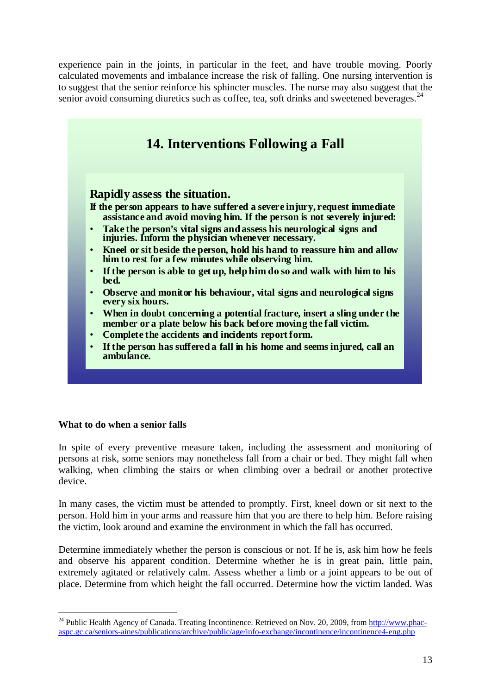experience pain in the joints, in particular in the feet, and have trouble moving. Poorly calculated movements and imbalance increase the risk of falling. One nursing intervention is to suggest that the senior reinforce his sphincter muscles. The nurse may also suggest that the senior avoid consuming diuretics such as coffee, tea, soft drinks and sweetened beverages. $^{24}$ 



### **What to do when a senior falls**

1

persons at risk, some seniors may nonetheless fall from a chair or bed. They might fall when walking, when climbing the stairs or when climbing over a bedrail or another protective In spite of every preventive measure taken, including the assessment and monitoring of device.

In many cases, the victim must be attended to promptly. First, kneel down or sit next to the person. Hold him in your arms and reassure him that you are there to help him. Before raising the victim, look around and examine the environment in which the fall has occurred.

place. Determine from which height the fall occurred. Determine how the victim landed. Was Determine immediately whether the person is conscious or not. If he is, ask him how he feels and observe his apparent condition. Determine whether he is in great pain, little pain, extremely agitated or relatively calm. Assess whether a limb or a joint appears to be out of

<sup>&</sup>lt;sup>24</sup> Public Health Agency of Canada. Treating Incontinence. Retrieved on Nov. 20, 2009, from [http://www.phac](http://www.phac-aspc.gc.ca/seniors-aines/publications/archive/public/age/info-exchange/incontinence/incontinence4-eng.php)[aspc.gc.ca/seniors-aines/publications/archive/public/age/info-exchange/incontinence/incontinence4-eng.php](http://www.phac-aspc.gc.ca/seniors-aines/publications/archive/public/age/info-exchange/incontinence/incontinence4-eng.php)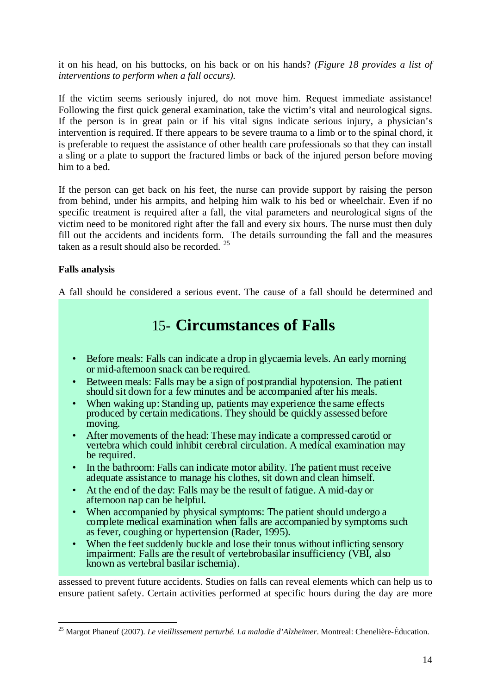it on his head, on his buttocks, on his back or on his hands? *(Figure 18 provides a list of interventions to perform when a fall occurs).* 

If the victim seems seriously injured, do not move him. Request immediate assistance! Following the first quick general examination, take the victim's vital and neurological signs. If the person is in great pain or if his vital signs indicate serious injury, a physician's intervention is required. If there appears to be severe trauma to a limb or to the spinal chord, it is preferable to request the assistance of other health care professionals so that they can install a sling or a plate to support the fractured limbs or back of the injured person before moving him to a bed.

specific treatment is required after a fall, the vital parameters and neurological signs of the victim need to be monitored right after the fall and every six hours. The nurse must then duly fill out the accidents and incidents form. The details surrounding the fall and the measures taken as a result should also be recorded.  $25$ If the person can get back on his feet, the nurse can provide support by raising the person from behind, under his armpits, and helping him walk to his bed or wheelchair. Even if no

### **Falls analysis**

A fall should be considered a serious event. The cause of a fall should be determined and

# 15- **Circumstances of Falls**

- Before meals: Falls can indicate a drop in glycaemia levels. An early morning or mid-afternoon snack can be required.
- Between meals: Falls may be a sign of postprandial hypotension. The patient should sit down for a few minutes and be accompanied after his meals.
- When waking up: Standing up, patients may experience the same effects produced by certain medications. They should be quickly assessed before moving.
- After movements of the head: These may indicate a compressed carotid or vertebra which could inhibit cerebral circulation. A medical examination may be required.
- In the bathroom: Falls can indicate motor ability. The patient must receive adequate assistance to manage his clothes, sit down and clean himself.
- At the end of the day: Falls may be the result of fatigue. A mid-day or afternoon nap can be helpful.
- When accompanied by physical symptoms: The patient should undergo a complete medical examination when falls are accompanied by symptoms such as fever, coughing or hypertension (Rader, 1995).
- When the feet suddenly buckle and lose their tonus without inflicting sensory impairment: Falls are the result of vertebrobasilar insufficiency (VBI, also known as vertebral basilar ischemia).

assessed to prevent future accidents. Studies on falls can reveal elements which can help us to ensure patient safety. Certain activities performed at specific hours during the day are more

 <sup>25</sup> Margot Phaneuf (2007). *Le vieillissement perturbé. La maladie d'Alzheimer*. Montreal: Chenelière-Éducation.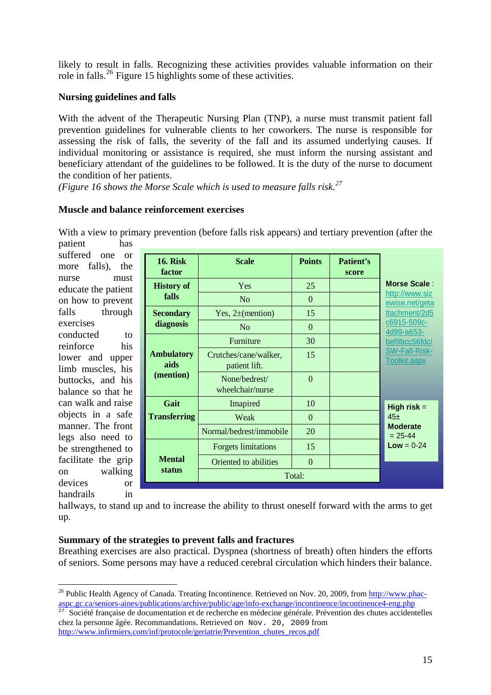likely to result in falls. Recognizing these activities provides valuable information on their role in falls.<sup>26</sup> Figure 15 highlights some of these activities.

### **Nursing guidelines and falls**

assessing the risk of falls, the severity of the fall and its assumed underlying causes. If individual monitoring or assistance is required, she must inform the nursing assistant and beneficiary attendant of the guidelines to be followed. It is the duty of the nurse to document With the advent of the Therapeutic Nursing Plan (TNP), a nurse must transmit patient fall prevention guidelines for vulnerable clients to her coworkers. The nurse is responsible for the condition of her patients.

*igure 16 shows the Morse Scale which is used to measure falls risk.<sup>27</sup> (F*

### **Muscle and balance reinforcement exercises**

With a view to primar y prevention (before falls risk appears) and tertiary prevention (after the patient has

educate the patient on walking devices or suffered one or more falls), the nurse must on how to prevent falls through exercises conducted to reinforce his lower and upper limb muscles, his buttocks, and his balance so that he can walk and raise objects in a safe manner. The front legs also need to be strengthened to facilitate the grip handrails in

| <b>16. Risk</b><br>factor              | <b>Scale</b>                           | <b>Points</b>  | Patient's<br>score |                                                  |  |
|----------------------------------------|----------------------------------------|----------------|--------------------|--------------------------------------------------|--|
| <b>History of</b>                      | Yes                                    | 25             |                    | Morse Scale:<br>http://www.siz<br>ewise.net/geta |  |
| falls                                  | N <sub>o</sub>                         | $\Omega$       |                    |                                                  |  |
| <b>Secondary</b>                       | Yes, $2\pm$ (mention)                  | 15             |                    | ttachment/2d5                                    |  |
| diagnosis                              | N <sub>o</sub>                         | $\theta$       |                    | c6915-509c-<br>4d99-a653-                        |  |
|                                        | Furniture                              | 30             |                    | bef8bcc56fdc/                                    |  |
| <b>Ambulatory</b><br>aids<br>(mention) | Crutches/cane/walker,<br>patient lift. | 15             |                    | <b>SW-Fall-Risk-</b><br><b>Toolkit.aspx</b>      |  |
|                                        | None/bedrest/<br>wheelchair/nurse      | $\overline{0}$ |                    |                                                  |  |
| Gait                                   | Imapired                               | 10             |                    | High risk $=$<br>45±                             |  |
| <b>Transferring</b>                    | Weak                                   | $\Omega$       |                    |                                                  |  |
|                                        | Normal/bedrest/immobile                | 20             |                    | <b>Moderate</b><br>$= 25 - 44$<br>$Low = 0-24$   |  |
| <b>Mental</b>                          | <b>Forgets limitations</b>             | 15             |                    |                                                  |  |
|                                        | Oriented to abilities                  | $\theta$       |                    |                                                  |  |
| status                                 | Total:                                 |                |                    |                                                  |  |

hallways, to stand up and to increase the ability to thrust oneself forward with the arms to get up.

### **Summary of the strategies to prevent falls and fractures**

Breathing exercises are also practical. Dyspnea (shortness of breath) often hinders the efforts of seniors. Some persons may have a reduced cerebral circulation which hinders their balance.

<sup>1</sup> <sup>26</sup> Public Health Agency of Canada. Treating Incontinence. Retrieved on Nov. 20, 2009, from http://www.phacaspc.gc.ca/seniors-aines/publications/archive/public/age/info-exchange/incontinence/incontinence4-eng.php

Société française de documentation et de recherche en médecine générale. Prévention des chutes accidentelles chez la personne âgée. Recommandations. Retrieved on Nov. 20, 2009 from [http://www.infirmiers.com/inf/protocole/geriatrie/Prevention\\_chutes\\_recos.pdf](http://www.unaformec.org/publications/Prevention_chutes_recos.pdf)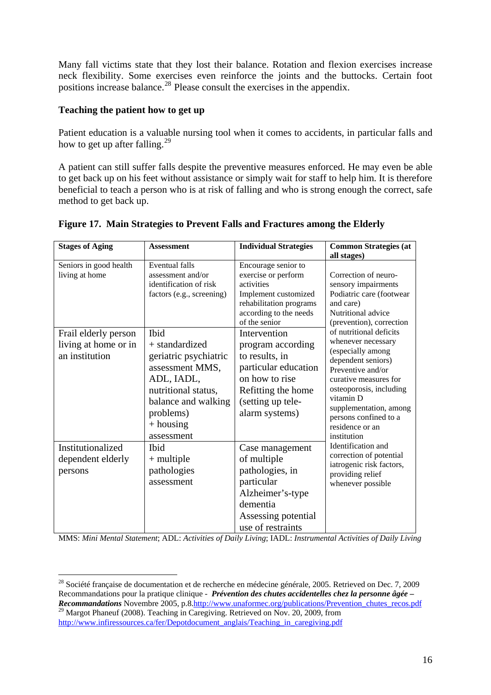Many fall victims state that they lost their balance. Rotation and flexion exercises increase neck flexibility. Some exercises even reinforce the joints and the buttocks. Certain foot positions increase balance.<sup>28</sup> Please consult the exercises in the appendix.

### Teaching the patient how to get up

Patient education is a valuable nursing tool when it comes to accidents, in particular falls and how to get up after falling.<sup>29</sup>

A patient can still suffer falls despite the preventive measures enforced. He may even be able to get back up on his feet without assistance or simply wait for staff to help him. It is therefore beneficial to teach a person who is at risk of falling and who is strong enough the correct, safe method to get back up.

| <b>Stages of Aging</b>                                         | <b>Assessment</b>                                                                                                                                                        | <b>Individual Strategies</b>                                                                                                                               | <b>Common Strategies (at</b>                                                                                                                                                                                                                                                                                                                                                              |
|----------------------------------------------------------------|--------------------------------------------------------------------------------------------------------------------------------------------------------------------------|------------------------------------------------------------------------------------------------------------------------------------------------------------|-------------------------------------------------------------------------------------------------------------------------------------------------------------------------------------------------------------------------------------------------------------------------------------------------------------------------------------------------------------------------------------------|
|                                                                |                                                                                                                                                                          |                                                                                                                                                            | all stages)                                                                                                                                                                                                                                                                                                                                                                               |
| Seniors in good health<br>living at home                       | <b>Eventual falls</b><br>assessment and/or<br>identification of risk<br>factors (e.g., screening)                                                                        | Encourage senior to<br>exercise or perform<br>activities<br>Implement customized<br>rehabilitation programs<br>according to the needs<br>of the senior     | Correction of neuro-<br>sensory impairments<br>Podiatric care (footwear<br>and care)<br>Nutritional advice<br>(prevention), correction                                                                                                                                                                                                                                                    |
| Frail elderly person<br>living at home or in<br>an institution | Ibid<br>+ standardized<br>geriatric psychiatric<br>assessment MMS,<br>ADL, IADL,<br>nutritional status,<br>balance and walking<br>problems)<br>$+$ housing<br>assessment | Intervention<br>program according<br>to results, in<br>particular education<br>on how to rise<br>Refitting the home<br>(setting up tele-<br>alarm systems) | of nutritional deficits<br>whenever necessary<br>(especially among<br>dependent seniors)<br>Preventive and/or<br>curative measures for<br>osteoporosis, including<br>vitamin D<br>supplementation, among<br>persons confined to a<br>residence or an<br>institution<br>Identification and<br>correction of potential<br>iatrogenic risk factors,<br>providing relief<br>whenever possible |
| Institutionalized<br>dependent elderly<br>persons              | <b>I</b> bid<br>$+$ multiple<br>pathologies<br>assessment                                                                                                                | Case management<br>of multiple<br>pathologies, in<br>particular<br>Alzheimer's-type<br>dementia<br>Assessing potential<br>use of restraints                |                                                                                                                                                                                                                                                                                                                                                                                           |

### Figure 17. Main Strategies to Prevent Falls and Fractures among the Elderly

MMS: *Mini Mental Statement*; ADL: *Activities of Daily Living*; IADL: *Instrumental Activities of Daily Living* 

<sup>28</sup> Société française de documentation et de recherche en médecine générale, 2005. Retrieved on Dec. 7, 2009 Recommandations pour la pratique clinique - *Prévention des chutes accidentelles chez la personne âgée – Recommandations* Novembre 2005, p.8.http://www.unaformec.org/publications/Prevention\_chutes\_recos.pdf<br><sup>29</sup> Margot Phaneuf (2008). Teaching in Caregiving. Retrieved on Nov. 20, 2009, from

[http://www.infiressources.ca/fer/Depotdocument\\_anglais/Teaching\\_in\\_caregiving.pdf](http://www.infiressources.ca/fer/Depotdocument_anglais/Teaching_in_caregiving.pdf)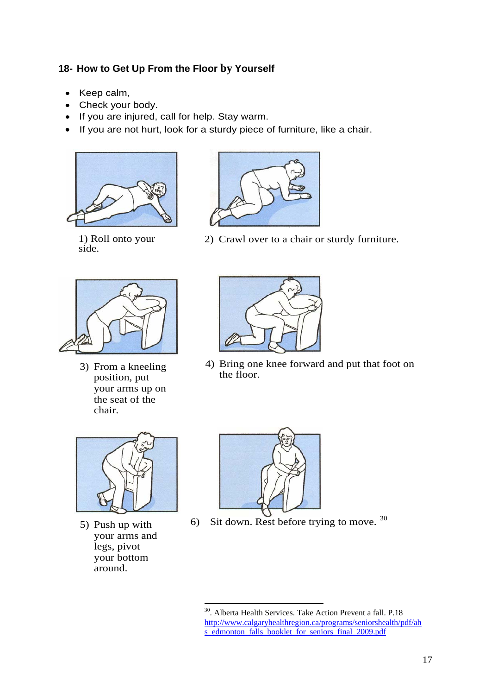### **18- How to Get Up From the Floor by Yourself**

- Keep calm,
- Check your body.
- If you are injured, call for help. Stay warm.
- If you are not hurt, look for a sturdy piece of furniture, like a chair.





1) Roll onto your side.



3) From a kneeling position, put your arms up on the seat of the chair.



4) Bring one knee forward and put that foot on the floor.



5) Push up with your arms and legs, pivot your bottom around.



1

6) Sit down. Rest before trying to move. <sup>30</sup>

<sup>30.</sup> Alberta Health Services. Take Action Prevent a fall. P.18 [http://www.calgaryhealthregion.ca/programs/seniorshealth/pdf/ah](http://www.calgaryhealthregion.ca/programs/seniorshealth/pdf/ahs_edmonton_falls_booklet_for_seniors_final_2009.pdf) [s\\_edmonton\\_falls\\_booklet\\_for\\_seniors\\_final\\_2009.pdf](http://www.calgaryhealthregion.ca/programs/seniorshealth/pdf/ahs_edmonton_falls_booklet_for_seniors_final_2009.pdf)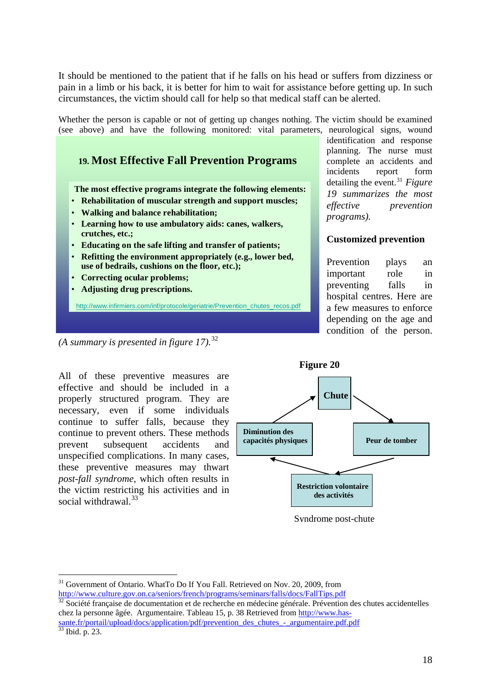It should be mentioned to the patient that if he falls on his head or suffers from dizziness or pain in a limb or his back, it is better for him to wait for assistance before getting up. In such circumstances, the victim should call for help so that medical staff can be alerted.

Whether the person is capable or not of getting up changes nothing. The victim should be examined (see above) and have the following monitored: vital parameters, neurological signs, wound

# **19. Most Effective Fall Prevention Programs**

**The most effective programs integrate the following elements:**

- **Rehabilitation of muscular strength and support muscles;**
- **Walking and balance rehabilitation;**
- **Learning how to use ambulatory aids: canes, walkers, crutches, etc.;**
- **Educating on the safe lifting and transfer of patients;**
- **Refitting the environment appropriately (e.g., lower bed, use of bedrails, cushions on the floor, etc.);**
- **Correcting ocular problems;**
- **Adjusting drug prescriptions.**

http://www.infirmiers.com/inf/protocole/geriatrie/Prevention\_chutes\_recos.pdf

identification and response planning. The nurse must complete an accidents and incidents report form detailing the event.<sup>[31](#page-17-0)</sup> *Figure 19 summarizes the most effective prevention programs).* 

### **Customized prevention**

Prevention plays an important role in preventing falls in hospital centres. Here are a few measures to enforce depending on the age and condition of the person.

All of these preventive measures are effective and should be included in a properly structured program. They are necessary, even if some individuals continue to suffer falls, because they continue to prevent others. These methods prevent subsequent accidents and unspecified complications. In many cases, these preventive measures may thwart *post-fall syndrome,* which often results in the victim restricting his activities and in social withdrawal. $33$ 



 Syndrome post-chute

<span id="page-17-1"></span><http://www.culture.gov.on.ca/seniors/french/programs/seminars/falls/docs/FallTips.pdf><br><sup>32</sup> Société française de documentation et de recherche en médecine générale. Prévention des chutes accidentelles chez la personne âgée. Argumentaire. Tableau 15, p. 38 Retrieved from [http://www.has](http://www.has-sante.fr/portail/upload/docs/application/pdf/prevention_des_chutes_-_argumentaire.pdf.pdf)[sante.fr/portail/upload/docs/application/pdf/prevention\\_des\\_chutes\\_-\\_argumentaire.pdf.pdf](http://www.has-sante.fr/portail/upload/docs/application/pdf/prevention_des_chutes_-_argumentaire.pdf.pdf)

<span id="page-17-2"></span>33 Ibid. p. 23.

1

*<sup>(</sup>A summary is presented in figure 17).*[32](#page-17-1)

<span id="page-17-0"></span><sup>&</sup>lt;sup>31</sup> Government of Ontario. WhatTo Do If You Fall. Retrieved on Nov. 20, 2009, from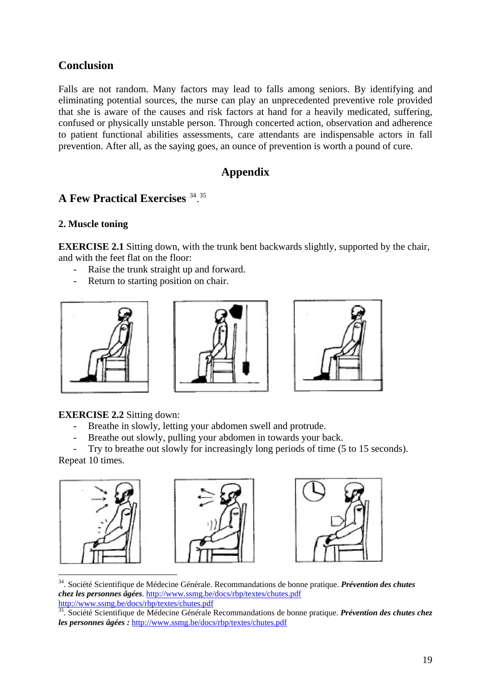# **Conclusion**

Falls are not random. Many factors may lead to falls among seniors. By identifying and eliminating potential sources, the nurse can play an unprecedented preventive role provided that she is aware of the causes and risk factors at hand for a heavily medicated, suffering, confused or physically unstable person. Through concerted action, observation and adherence to patient functional abilities assessments, care attendants are indispensable actors in fall prevention. After all, as the saying goes, an ounce of prevention is worth a pound of cure.

# **Appendix**

# **A Few Practical Exercises** [34](#page-18-0). [35](#page-18-1)

### **2. Muscle toning**

**EXERCISE 2.1** Sitting down, with the trunk bent backwards slightly, supported by the chair, and with the feet flat on the floor:

- Raise the trunk straight up and forward.
- Return to starting position on chair.







### **EXERCISE 2.2** Sitting down:

- Breathe in slowly, letting your abdomen swell and protrude.
- Breathe out slowly, pulling your abdomen in towards your back.

Try to breathe out slowly for increasingly long periods of time (5 to 15 seconds). Repeat 10 times.







<span id="page-18-0"></span>34. Société Scientifique de Médecine Générale. Recommandations de bonne pratique. *Prévention des chutes chez les personnes âgées*.<http://www.ssmg.be/docs/rbp/textes/chutes.pdf>

<span id="page-18-1"></span><sup>&</sup>lt;sup>35</sup>. Société Scientifique de Médecine Générale Recommandations de bonne pratique. *Prévention des chutes chez les personnes âgées :* <http://www.ssmg.be/docs/rbp/textes/chutes.pdf>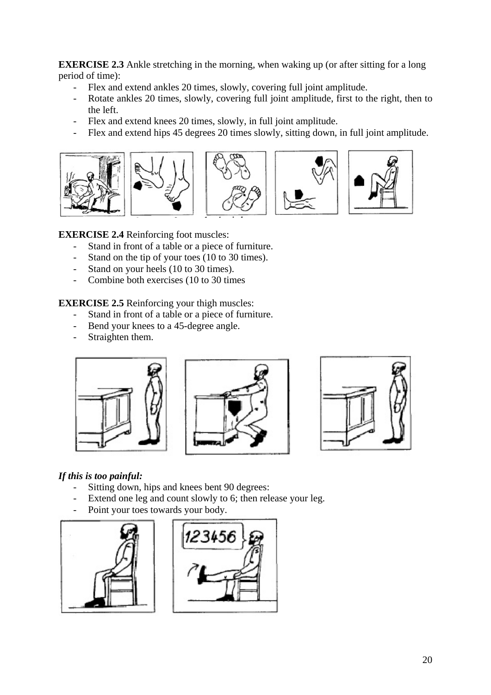**EXERCISE 2.3** Ankle stretching in the morning, when waking up (or after sitting for a long period of time):

- Flex and extend ankles 20 times, slowly, covering full joint amplitude.
- Rotate ankles 20 times, slowly, covering full joint amplitude, first to the right, then to the left.
- Flex and extend knees 20 times, slowly, in full joint amplitude.
- Flex and extend hips 45 degrees 20 times slowly, sitting down, in full joint amplitude.



**EXERCISE 2.4** Reinforcing foot muscles:

- Stand in front of a table or a piece of furniture.
- Stand on the tip of your toes (10 to 30 times).
- Stand on your heels (10 to 30 times).
- Combine both exercises (10 to 30 times

**EXERCISE 2.5** Reinforcing your thigh muscles:

- Stand in front of a table or a piece of furniture.
- Bend your knees to a 45-degree angle.
- Straighten them.







### *If this is too painful:*

- Sitting down, hips and knees bent 90 degrees:
- Extend one leg and count slowly to 6; then release your leg.
- Point your toes towards your body.



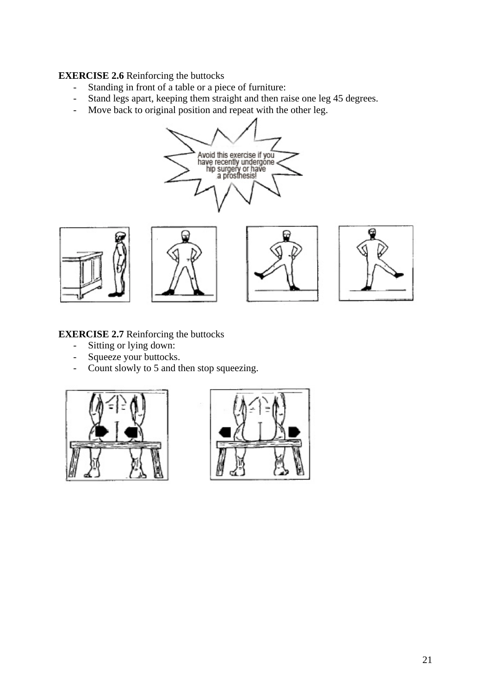### **EXERCISE 2.6** Reinforcing the buttocks

- Standing in front of a table or a piece of furniture:
- Stand legs apart, keeping them straight and then raise one leg 45 degrees.
- Move back to original position and repeat with the other leg.











### **EXERCISE 2.7** Reinforcing the buttocks

- Sitting or lying down:
- Squeeze your buttocks.
- Count slowly to 5 and then stop squeezing.



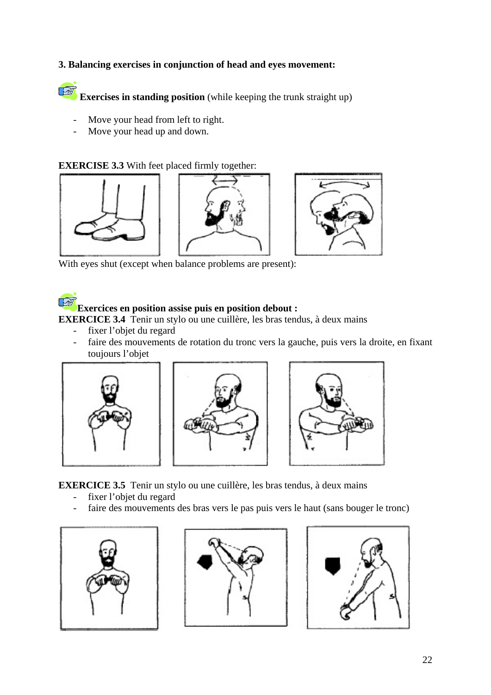### **3. Balancing exercises in conjunction of head and eyes movement:**

**TAB Exercises in standing position** (while keeping the trunk straight up)

- Move your head from left to right.
- Move your head up and down.

### **EXERCISE 3.3** With feet placed firmly together:







With eyes shut (except when balance problems are present):

# **Exercices en position assise puis en position debout :**

**EXERCICE 3.4** Tenir un stylo ou une cuillère, les bras tendus, à deux mains

- fixer l'objet du regard
- faire des mouvements de rotation du tronc vers la gauche, puis vers la droite, en fixant toujours l'objet







**EXERCICE 3.5** Tenir un stylo ou une cuillère, les bras tendus, à deux mains

- fixer l'objet du regard
- faire des mouvements des bras vers le pas puis vers le haut (sans bouger le tronc)





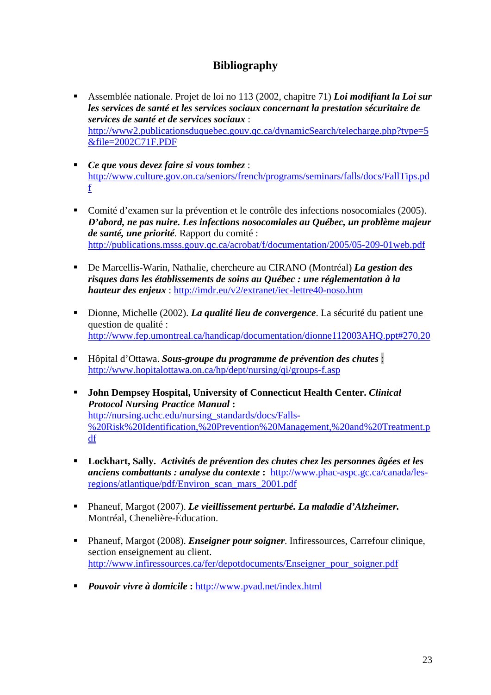# **Bibliography**

- Assemblée nationale. Projet de loi no 113 (2002, chapitre 71) *Loi modifiant la Loi sur les services de santé et les services sociaux concernant la prestation sécuritaire de services de santé et de services sociaux* : [http://www2.publicationsduquebec.gouv.qc.ca/dynamicSearch/telecharge.php?type=5](http://www2.publicationsduquebec.gouv.qc.ca/dynamicSearch/telecharge.php?type=5&file=2002C71F.PDF) [&file=2002C71F.PDF](http://www2.publicationsduquebec.gouv.qc.ca/dynamicSearch/telecharge.php?type=5&file=2002C71F.PDF)
- *Ce que vous devez faire si vous tombez* : [http://www.culture.gov.on.ca/seniors/french/programs/seminars/falls/docs/FallTips.pd](http://www.culture.gov.on.ca/seniors/french/programs/seminars/falls/docs/FallTips.pdf) [f](http://www.culture.gov.on.ca/seniors/french/programs/seminars/falls/docs/FallTips.pdf)
- Comité d'examen sur la prévention et le contrôle des infections nosocomiales (2005). *D'abord, ne pas nuire. Les infections nosocomiales au Québec, un problème majeur de santé, une priorité.* Rapport du comité : <http://publications.msss.gouv.qc.ca/acrobat/f/documentation/2005/05-209-01web.pdf>
- De Marcellis-Warin, Nathalie, chercheure au CIRANO (Montréal) *La gestion des risques dans les établissements de soins au Québec : une réglementation à la hauteur des enjeux* : <http://imdr.eu/v2/extranet/iec-lettre40-noso.htm>
- Dionne, Michelle (2002). *La qualité lieu de convergence*. La sécurité du patient une question de qualité : <http://www.fep.umontreal.ca/handicap/documentation/dionne112003AHQ.ppt#270,20>
- Hôpital d'Ottawa. *Sous-groupe du programme de prévention des chutes* : <http://www.hopitalottawa.on.ca/hp/dept/nursing/qi/groups-f.asp>
- **John Dempsey Hospital, University of Connecticut Health Center.** *Clinical Protocol Nursing Practice Manual* **:**  [http://nursing.uchc.edu/nursing\\_standards/docs/Falls-](http://nursing.uchc.edu/nursing_standards/docs/Falls-%20Risk%20Identification,%20Prevention%20Management,%20and%20Treatment.pdf) [%20Risk%20Identification,%20Prevention%20Management,%20and%20Treatment.p](http://nursing.uchc.edu/nursing_standards/docs/Falls-%20Risk%20Identification,%20Prevention%20Management,%20and%20Treatment.pdf) [df](http://nursing.uchc.edu/nursing_standards/docs/Falls-%20Risk%20Identification,%20Prevention%20Management,%20and%20Treatment.pdf)
- **Lockhart, Sally.** *Activités de prévention des chutes chez les personnes âgées et les anciens combattants : analyse du contexte* **:** [http://www.phac-aspc.gc.ca/canada/les](http://www.phac-aspc.gc.ca/canada/les-regions/atlantique/pdf/Environ_scan_mars_2001.pdf)[regions/atlantique/pdf/Environ\\_scan\\_mars\\_2001.pdf](http://www.phac-aspc.gc.ca/canada/les-regions/atlantique/pdf/Environ_scan_mars_2001.pdf)
- Phaneuf, Margot (2007). *Le vieillissement perturbé. La maladie d'Alzheimer.* Montréal, Chenelière-Éducation.
- Phaneuf, Margot (2008). *Enseigner pour soigner*. Infiressources, Carrefour clinique, section enseignement au client. [http://www.infiressources.ca/fer/depotdocuments/Enseigner\\_pour\\_soigner.pdf](http://www.infiressources.ca/fer/depotdocuments/Enseigner_pour_soigner.pdf)
- *Pouvoir vivre à domicile* **:** <http://www.pvad.net/index.html>